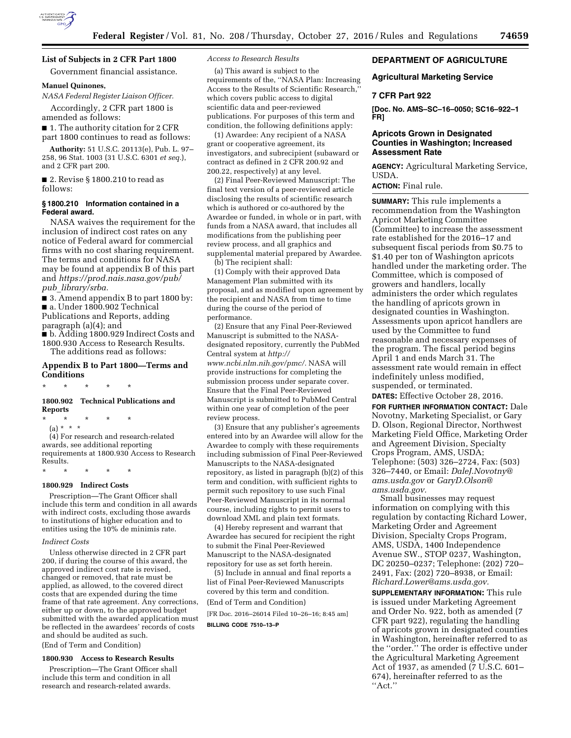

# **DEPARTMENT OF AGRICULTURE**

## **Agricultural Marketing Service**

## **7 CFR Part 922**

**[Doc. No. AMS–SC–16–0050; SC16–922–1 FR]** 

# **Apricots Grown in Designated Counties in Washington; Increased Assessment Rate**

**AGENCY:** Agricultural Marketing Service, USDA.

**ACTION:** Final rule.

**SUMMARY:** This rule implements a recommendation from the Washington Apricot Marketing Committee (Committee) to increase the assessment rate established for the 2016–17 and subsequent fiscal periods from \$0.75 to \$1.40 per ton of Washington apricots handled under the marketing order. The Committee, which is composed of growers and handlers, locally administers the order which regulates the handling of apricots grown in designated counties in Washington. Assessments upon apricot handlers are used by the Committee to fund reasonable and necessary expenses of the program. The fiscal period begins April 1 and ends March 31. The assessment rate would remain in effect indefinitely unless modified, suspended, or terminated.

**DATES:** Effective October 28, 2016.

**FOR FURTHER INFORMATION CONTACT:** Dale Novotny, Marketing Specialist, or Gary D. Olson, Regional Director, Northwest Marketing Field Office, Marketing Order and Agreement Division, Specialty Crops Program, AMS, USDA; Telephone: (503) 326–2724, Fax: (503) 326–7440, or Email: *[DaleJ.Novotny@](mailto:DaleJ.Novotny@ams.usda.gov) [ams.usda.gov](mailto:DaleJ.Novotny@ams.usda.gov)* or *[GaryD.Olson@](mailto:GaryD.Olson@ams.usda.gov) [ams.usda.gov.](mailto:GaryD.Olson@ams.usda.gov)* 

Small businesses may request information on complying with this regulation by contacting Richard Lower, Marketing Order and Agreement Division, Specialty Crops Program, AMS, USDA, 1400 Independence Avenue SW., STOP 0237, Washington, DC 20250–0237; Telephone: (202) 720– 2491, Fax: (202) 720–8938, or Email: *[Richard.Lower@ams.usda.gov.](mailto:Richard.Lower@ams.usda.gov)* 

**SUPPLEMENTARY INFORMATION:** This rule is issued under Marketing Agreement and Order No. 922, both as amended (7 CFR part 922), regulating the handling of apricots grown in designated counties in Washington, hereinafter referred to as the ''order.'' The order is effective under the Agricultural Marketing Agreement Act of 1937, as amended (7 U.S.C. 601-674), hereinafter referred to as the ''Act.''

#### *Access to Research Results*

(a) This award is subject to the requirements of the, ''NASA Plan: Increasing Access to the Results of Scientific Research,'' which covers public access to digital scientific data and peer-reviewed publications. For purposes of this term and condition, the following definitions apply:

(1) Awardee: Any recipient of a NASA grant or cooperative agreement, its investigators, and subrecipient (subaward or contract as defined in 2 CFR 200.92 and 200.22, respectively) at any level.

(2) Final Peer-Reviewed Manuscript: The final text version of a peer-reviewed article disclosing the results of scientific research which is authored or co-authored by the Awardee or funded, in whole or in part, with funds from a NASA award, that includes all modifications from the publishing peer review process, and all graphics and supplemental material prepared by Awardee.

(b) The recipient shall:

(1) Comply with their approved Data Management Plan submitted with its proposal, and as modified upon agreement by the recipient and NASA from time to time during the course of the period of performance.

(2) Ensure that any Final Peer-Reviewed Manuscript is submitted to the NASAdesignated repository, currently the PubMed Central system at *[http://](http://www.ncbi.nlm.nih.gov/pmc/) [www.ncbi.nlm.nih.gov/pmc/.](http://www.ncbi.nlm.nih.gov/pmc/)* NASA will provide instructions for completing the submission process under separate cover. Ensure that the Final Peer-Reviewed Manuscript is submitted to PubMed Central within one year of completion of the peer review process.

(3) Ensure that any publisher's agreements entered into by an Awardee will allow for the Awardee to comply with these requirements including submission of Final Peer-Reviewed Manuscripts to the NASA-designated repository, as listed in paragraph (b)(2) of this term and condition, with sufficient rights to permit such repository to use such Final Peer-Reviewed Manuscript in its normal course, including rights to permit users to download XML and plain text formats.

(4) Hereby represent and warrant that Awardee has secured for recipient the right to submit the Final Peer-Reviewed Manuscript to the NASA-designated repository for use as set forth herein.

(5) Include in annual and final reports a list of Final Peer-Reviewed Manuscripts covered by this term and condition.

(End of Term and Condition)

[FR Doc. 2016–26014 Filed 10–26–16; 8:45 am] **BILLING CODE 7510–13–P** 

**List of Subjects in 2 CFR Part 1800** 

Government financial assistance.

# **Manuel Quinones,**

*NASA Federal Register Liaison Officer.* 

Accordingly, 2 CFR part 1800 is amended as follows:

■ 1. The authority citation for 2 CFR part 1800 continues to read as follows:

**Authority:** 51 U.S.C. 20113(e), Pub. L. 97– 258, 96 Stat. 1003 (31 U.S.C. 6301 *et seq.*), and 2 CFR part 200.

■ 2. Revise § 1800.210 to read as follows:

#### **§ 1800.210 Information contained in a Federal award.**

NASA waives the requirement for the inclusion of indirect cost rates on any notice of Federal award for commercial firms with no cost sharing requirement. The terms and conditions for NASA may be found at appendix B of this part and *[https://prod.nais.nasa.gov/pub/](https://prod.nais.nasa.gov/pub/pub_library/srba)  pub*\_*[library/srba.](https://prod.nais.nasa.gov/pub/pub_library/srba)* 

■ 3. Amend appendix B to part 1800 by: ■ a. Under 1800.902 Technical Publications and Reports, adding paragraph (a)(4); and

■ b. Adding 1800.929 Indirect Costs and 1800.930 Access to Research Results. The additions read as follows:

## **Appendix B to Part 1800—Terms and Conditions**

\* \* \* \* \*

# **1800.902 Technical Publications and Reports**

\* \* \* \* \*

(a) \* \* \* (4) For research and research-related awards, see additional reporting requirements at 1800.930 Access to Research Results.

# \* \* \* \* \* **1800.929 Indirect Costs**

Prescription—The Grant Officer shall include this term and condition in all awards with indirect costs, excluding those awards to institutions of higher education and to entities using the  $10\%$  de minimis rate.

### *Indirect Costs*

Unless otherwise directed in 2 CFR part 200, if during the course of this award, the approved indirect cost rate is revised, changed or removed, that rate must be applied, as allowed, to the covered direct costs that are expended during the time frame of that rate agreement. Any corrections, either up or down, to the approved budget submitted with the awarded application must be reflected in the awardees' records of costs and should be audited as such. (End of Term and Condition)

#### **1800.930 Access to Research Results**

Prescription—The Grant Officer shall include this term and condition in all research and research-related awards.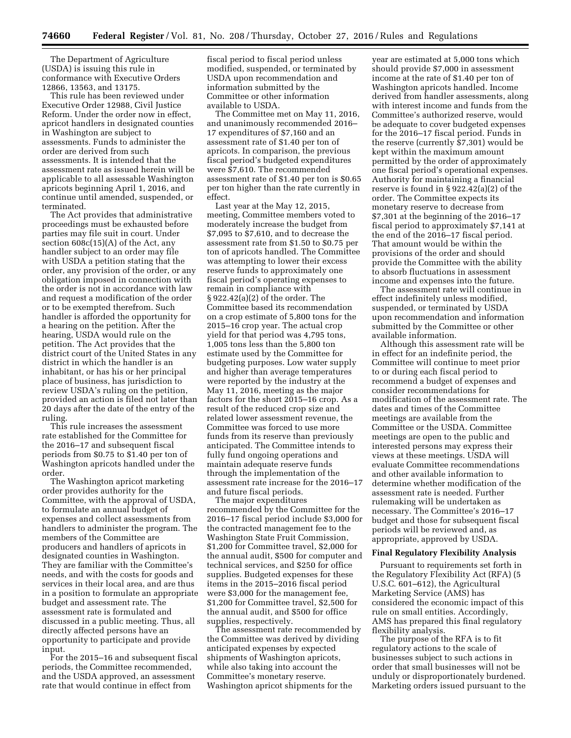The Department of Agriculture (USDA) is issuing this rule in conformance with Executive Orders 12866, 13563, and 13175.

This rule has been reviewed under Executive Order 12988, Civil Justice Reform. Under the order now in effect, apricot handlers in designated counties in Washington are subject to assessments. Funds to administer the order are derived from such assessments. It is intended that the assessment rate as issued herein will be applicable to all assessable Washington apricots beginning April 1, 2016, and continue until amended, suspended, or terminated.

The Act provides that administrative proceedings must be exhausted before parties may file suit in court. Under section 608c(15)(A) of the Act, any handler subject to an order may file with USDA a petition stating that the order, any provision of the order, or any obligation imposed in connection with the order is not in accordance with law and request a modification of the order or to be exempted therefrom. Such handler is afforded the opportunity for a hearing on the petition. After the hearing, USDA would rule on the petition. The Act provides that the district court of the United States in any district in which the handler is an inhabitant, or has his or her principal place of business, has jurisdiction to review USDA's ruling on the petition, provided an action is filed not later than 20 days after the date of the entry of the ruling.

This rule increases the assessment rate established for the Committee for the 2016–17 and subsequent fiscal periods from \$0.75 to \$1.40 per ton of Washington apricots handled under the order.

The Washington apricot marketing order provides authority for the Committee, with the approval of USDA, to formulate an annual budget of expenses and collect assessments from handlers to administer the program. The members of the Committee are producers and handlers of apricots in designated counties in Washington. They are familiar with the Committee's needs, and with the costs for goods and services in their local area, and are thus in a position to formulate an appropriate budget and assessment rate. The assessment rate is formulated and discussed in a public meeting. Thus, all directly affected persons have an opportunity to participate and provide input.

For the 2015–16 and subsequent fiscal periods, the Committee recommended, and the USDA approved, an assessment rate that would continue in effect from

fiscal period to fiscal period unless modified, suspended, or terminated by USDA upon recommendation and information submitted by the Committee or other information available to USDA.

The Committee met on May 11, 2016, and unanimously recommended 2016– 17 expenditures of \$7,160 and an assessment rate of \$1.40 per ton of apricots. In comparison, the previous fiscal period's budgeted expenditures were \$7,610. The recommended assessment rate of \$1.40 per ton is \$0.65 per ton higher than the rate currently in effect.

Last year at the May 12, 2015, meeting, Committee members voted to moderately increase the budget from \$7,095 to \$7,610, and to decrease the assessment rate from \$1.50 to \$0.75 per ton of apricots handled. The Committee was attempting to lower their excess reserve funds to approximately one fiscal period's operating expenses to remain in compliance with § 922.42(a)(2) of the order. The Committee based its recommendation on a crop estimate of 5,800 tons for the 2015–16 crop year. The actual crop yield for that period was 4,795 tons, 1,005 tons less than the 5,800 ton estimate used by the Committee for budgeting purposes. Low water supply and higher than average temperatures were reported by the industry at the May 11, 2016, meeting as the major factors for the short 2015–16 crop. As a result of the reduced crop size and related lower assessment revenue, the Committee was forced to use more funds from its reserve than previously anticipated. The Committee intends to fully fund ongoing operations and maintain adequate reserve funds through the implementation of the assessment rate increase for the 2016–17 and future fiscal periods.

The major expenditures recommended by the Committee for the 2016–17 fiscal period include \$3,000 for the contracted management fee to the Washington State Fruit Commission, \$1,200 for Committee travel, \$2,000 for the annual audit, \$500 for computer and technical services, and \$250 for office supplies. Budgeted expenses for these items in the 2015–2016 fiscal period were \$3,000 for the management fee, \$1,200 for Committee travel, \$2,500 for the annual audit, and \$500 for office supplies, respectively.

The assessment rate recommended by the Committee was derived by dividing anticipated expenses by expected shipments of Washington apricots, while also taking into account the Committee's monetary reserve. Washington apricot shipments for the

year are estimated at 5,000 tons which should provide \$7,000 in assessment income at the rate of \$1.40 per ton of Washington apricots handled. Income derived from handler assessments, along with interest income and funds from the Committee's authorized reserve, would be adequate to cover budgeted expenses for the 2016–17 fiscal period. Funds in the reserve (currently \$7,301) would be kept within the maximum amount permitted by the order of approximately one fiscal period's operational expenses. Authority for maintaining a financial reserve is found in § 922.42(a)(2) of the order. The Committee expects its monetary reserve to decrease from \$7,301 at the beginning of the 2016–17 fiscal period to approximately \$7,141 at the end of the 2016–17 fiscal period. That amount would be within the provisions of the order and should provide the Committee with the ability to absorb fluctuations in assessment income and expenses into the future.

The assessment rate will continue in effect indefinitely unless modified, suspended, or terminated by USDA upon recommendation and information submitted by the Committee or other available information.

Although this assessment rate will be in effect for an indefinite period, the Committee will continue to meet prior to or during each fiscal period to recommend a budget of expenses and consider recommendations for modification of the assessment rate. The dates and times of the Committee meetings are available from the Committee or the USDA. Committee meetings are open to the public and interested persons may express their views at these meetings. USDA will evaluate Committee recommendations and other available information to determine whether modification of the assessment rate is needed. Further rulemaking will be undertaken as necessary. The Committee's 2016–17 budget and those for subsequent fiscal periods will be reviewed and, as appropriate, approved by USDA.

### **Final Regulatory Flexibility Analysis**

Pursuant to requirements set forth in the Regulatory Flexibility Act (RFA) (5 U.S.C. 601–612), the Agricultural Marketing Service (AMS) has considered the economic impact of this rule on small entities. Accordingly, AMS has prepared this final regulatory flexibility analysis.

The purpose of the RFA is to fit regulatory actions to the scale of businesses subject to such actions in order that small businesses will not be unduly or disproportionately burdened. Marketing orders issued pursuant to the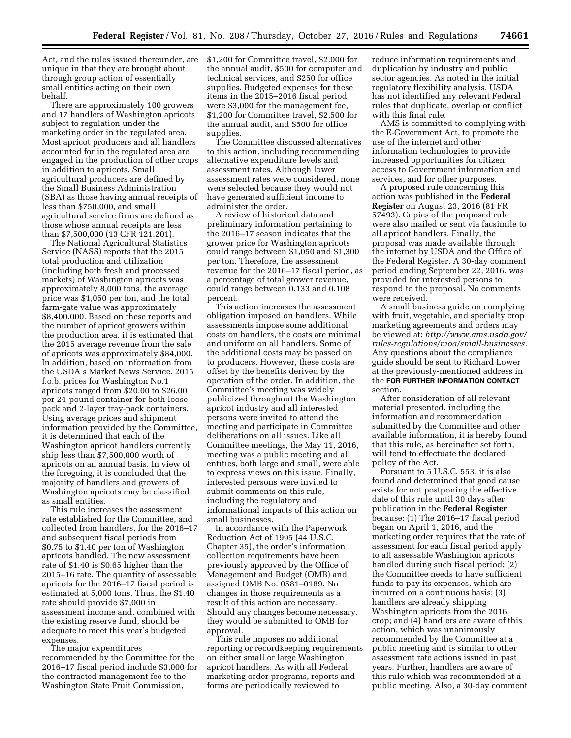Act, and the rules issued thereunder, are unique in that they are brought about through group action of essentially small entities acting on their own behalf.

There are approximately 100 growers and 17 handlers of Washington apricots subject to regulation under the marketing order in the regulated area. Most apricot producers and all handlers accounted for in the regulated area are engaged in the production of other crops in addition to apricots. Small agricultural producers are defined by the Small Business Administration (SBA) as those having annual receipts of less than \$750,000, and small agricultural service firms are defined as those whose annual receipts are less than \$7,500,000 (13 CFR 121.201).

The National Agricultural Statistics Service (NASS) reports that the 2015 total production and utilization (including both fresh and processed markets) of Washington apricots was approximately 8,000 tons, the average price was \$1,050 per ton, and the total farm-gate value was approximately \$8,400,000. Based on these reports and the number of apricot growers within the production area, it is estimated that the 2015 average revenue from the sale of apricots was approximately \$84,000. In addition, based on information from the USDA's Market News Service, 2015 f.o.b. prices for Washington No.1 apricots ranged from \$20.00 to \$26.00 per 24-pound container for both loose pack and 2-layer tray-pack containers. Using average prices and shipment information provided by the Committee, it is determined that each of the Washington apricot handlers currently ship less than \$7,500,000 worth of apricots on an annual basis. In view of the foregoing, it is concluded that the majority of handlers and growers of Washington apricots may be classified as small entities.

This rule increases the assessment rate established for the Committee, and collected from handlers, for the 2016–17 and subsequent fiscal periods from \$0.75 to \$1.40 per ton of Washington apricots handled. The new assessment rate of \$1.40 is \$0.65 higher than the 2015–16 rate. The quantity of assessable apricots for the 2016–17 fiscal period is estimated at 5,000 tons. Thus, the \$1.40 rate should provide \$7,000 in assessment income and, combined with the existing reserve fund, should be adequate to meet this year's budgeted expenses.

The major expenditures recommended by the Committee for the 2016–17 fiscal period include \$3,000 for the contracted management fee to the Washington State Fruit Commission,

\$1,200 for Committee travel, \$2,000 for the annual audit, \$500 for computer and technical services, and \$250 for office supplies. Budgeted expenses for these items in the 2015–2016 fiscal period were \$3,000 for the management fee, \$1,200 for Committee travel, \$2,500 for the annual audit, and \$500 for office supplies.

The Committee discussed alternatives to this action, including recommending alternative expenditure levels and assessment rates. Although lower assessment rates were considered, none were selected because they would not have generated sufficient income to administer the order.

A review of historical data and preliminary information pertaining to the 2016–17 season indicates that the grower price for Washington apricots could range between \$1,050 and \$1,300 per ton. Therefore, the assessment revenue for the 2016–17 fiscal period, as a percentage of total grower revenue, could range between 0.133 and 0.108 percent.

This action increases the assessment obligation imposed on handlers. While assessments impose some additional costs on handlers, the costs are minimal and uniform on all handlers. Some of the additional costs may be passed on to producers. However, these costs are offset by the benefits derived by the operation of the order. In addition, the Committee's meeting was widely publicized throughout the Washington apricot industry and all interested persons were invited to attend the meeting and participate in Committee deliberations on all issues. Like all Committee meetings, the May 11, 2016, meeting was a public meeting and all entities, both large and small, were able to express views on this issue. Finally, interested persons were invited to submit comments on this rule, including the regulatory and informational impacts of this action on small businesses.

In accordance with the Paperwork Reduction Act of 1995 (44 U.S.C. Chapter 35), the order's information collection requirements have been previously approved by the Office of Management and Budget (OMB) and assigned OMB No. 0581–0189. No changes in those requirements as a result of this action are necessary. Should any changes become necessary, they would be submitted to OMB for approval.

This rule imposes no additional reporting or recordkeeping requirements on either small or large Washington apricot handlers. As with all Federal marketing order programs, reports and forms are periodically reviewed to

reduce information requirements and duplication by industry and public sector agencies. As noted in the initial regulatory flexibility analysis, USDA has not identified any relevant Federal rules that duplicate, overlap or conflict with this final rule.

AMS is committed to complying with the E-Government Act, to promote the use of the internet and other information technologies to provide increased opportunities for citizen access to Government information and services, and for other purposes.

A proposed rule concerning this action was published in the **Federal Register** on August 23, 2016 (81 FR 57493). Copies of the proposed rule were also mailed or sent via facsimile to all apricot handlers. Finally, the proposal was made available through the internet by USDA and the Office of the Federal Register. A 30-day comment period ending September 22, 2016, was provided for interested persons to respond to the proposal. No comments were received.

A small business guide on complying with fruit, vegetable, and specialty crop marketing agreements and orders may be viewed at: *[http://www.ams.usda.gov/](http://www.ams.usda.gov/rules-regulations/moa/small-businesses) [rules-regulations/moa/small-businesses.](http://www.ams.usda.gov/rules-regulations/moa/small-businesses)*  Any questions about the compliance guide should be sent to Richard Lower at the previously-mentioned address in the **FOR FURTHER INFORMATION CONTACT** section.

After consideration of all relevant material presented, including the information and recommendation submitted by the Committee and other available information, it is hereby found that this rule, as hereinafter set forth, will tend to effectuate the declared policy of the Act.

Pursuant to 5 U.S.C. 553, it is also found and determined that good cause exists for not postponing the effective date of this rule until 30 days after publication in the **Federal Register**  because: (1) The 2016–17 fiscal period began on April 1, 2016, and the marketing order requires that the rate of assessment for each fiscal period apply to all assessable Washington apricots handled during such fiscal period; (2) the Committee needs to have sufficient funds to pay its expenses, which are incurred on a continuous basis; (3) handlers are already shipping Washington apricots from the 2016 crop; and (4) handlers are aware of this action, which was unanimously recommended by the Committee at a public meeting and is similar to other assessment rate actions issued in past years. Further, handlers are aware of this rule which was recommended at a public meeting. Also, a 30-day comment